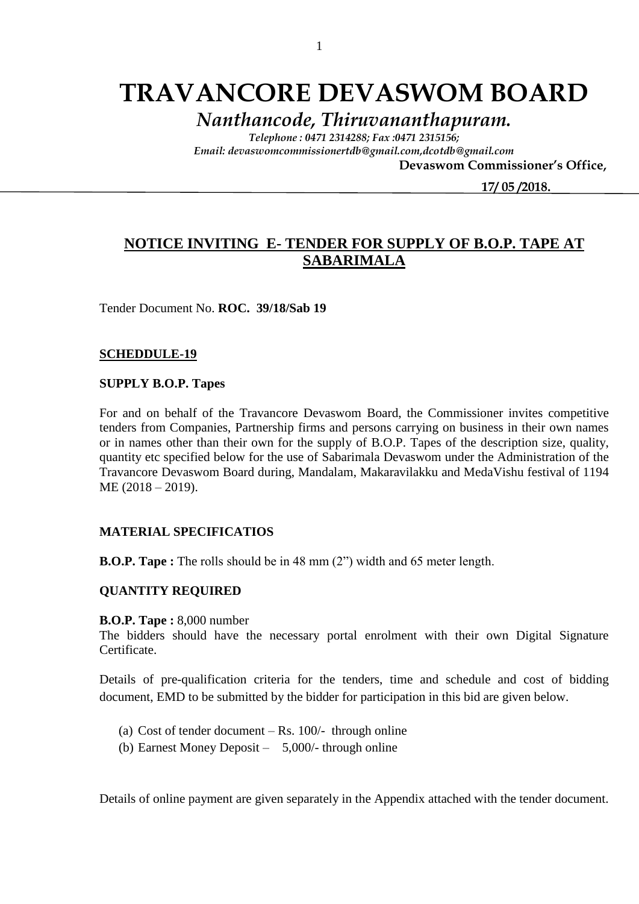# **TRAVANCORE DEVASWOM BOARD**

*Nanthancode, Thiruvananthapuram.*

*Telephone : 0471 2314288; Fax :0471 2315156; Email: devaswomcommissionertdb@gmail.com,dcotdb@gmail.com*

 **Devaswom Commissioner's Office,**

 **17/ 05 /2018.**

## **NOTICE INVITING E- TENDER FOR SUPPLY OF B.O.P. TAPE AT SABARIMALA**

Tender Document No. **ROC. 39/18/Sab 19**

#### **SCHEDDULE-19**

#### **SUPPLY B.O.P. Tapes**

For and on behalf of the Travancore Devaswom Board, the Commissioner invites competitive tenders from Companies, Partnership firms and persons carrying on business in their own names or in names other than their own for the supply of B.O.P. Tapes of the description size, quality, quantity etc specified below for the use of Sabarimala Devaswom under the Administration of the Travancore Devaswom Board during, Mandalam, Makaravilakku and MedaVishu festival of 1194 ME (2018 – 2019).

#### **MATERIAL SPECIFICATIOS**

**B.O.P. Tape :** The rolls should be in 48 mm (2") width and 65 meter length.

#### **QUANTITY REQUIRED**

**B.O.P. Tape :** 8,000 number

The bidders should have the necessary portal enrolment with their own Digital Signature Certificate.

Details of pre-qualification criteria for the tenders, time and schedule and cost of bidding document, EMD to be submitted by the bidder for participation in this bid are given below.

- (a) Cost of tender document Rs.  $100/-$  through online
- (b) Earnest Money Deposit 5,000/- through online

Details of online payment are given separately in the Appendix attached with the tender document.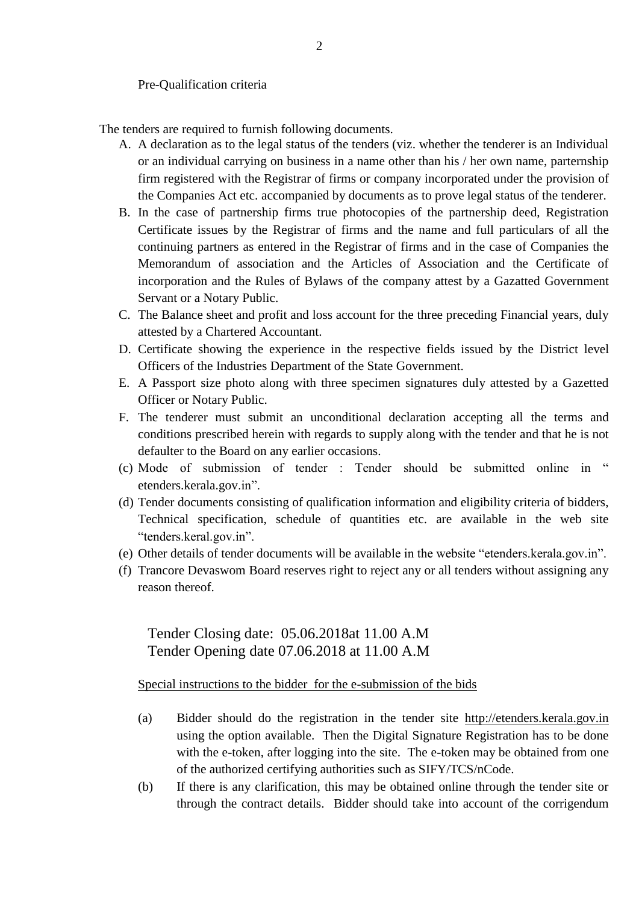Pre-Qualification criteria

The tenders are required to furnish following documents.

- A. A declaration as to the legal status of the tenders (viz. whether the tenderer is an Individual or an individual carrying on business in a name other than his / her own name, parternship firm registered with the Registrar of firms or company incorporated under the provision of the Companies Act etc. accompanied by documents as to prove legal status of the tenderer.
- B. In the case of partnership firms true photocopies of the partnership deed, Registration Certificate issues by the Registrar of firms and the name and full particulars of all the continuing partners as entered in the Registrar of firms and in the case of Companies the Memorandum of association and the Articles of Association and the Certificate of incorporation and the Rules of Bylaws of the company attest by a Gazatted Government Servant or a Notary Public.
- C. The Balance sheet and profit and loss account for the three preceding Financial years, duly attested by a Chartered Accountant.
- D. Certificate showing the experience in the respective fields issued by the District level Officers of the Industries Department of the State Government.
- E. A Passport size photo along with three specimen signatures duly attested by a Gazetted Officer or Notary Public.
- F. The tenderer must submit an unconditional declaration accepting all the terms and conditions prescribed herein with regards to supply along with the tender and that he is not defaulter to the Board on any earlier occasions.
- (c) Mode of submission of tender : Tender should be submitted online in " etenders.kerala.gov.in".
- (d) Tender documents consisting of qualification information and eligibility criteria of bidders, Technical specification, schedule of quantities etc. are available in the web site "tenders.keral.gov.in".
- (e) Other details of tender documents will be available in the website "etenders.kerala.gov.in".
- (f) Trancore Devaswom Board reserves right to reject any or all tenders without assigning any reason thereof.

Tender Closing date: 05.06.2018at 11.00 A.M Tender Opening date 07.06.2018 at 11.00 A.M

Special instructions to the bidder for the e-submission of the bids

- (a) Bidder should do the registration in the tender site http://etenders.kerala.gov.in using the option available. Then the Digital Signature Registration has to be done with the e-token, after logging into the site. The e-token may be obtained from one of the authorized certifying authorities such as SIFY/TCS/nCode.
- (b) If there is any clarification, this may be obtained online through the tender site or through the contract details. Bidder should take into account of the corrigendum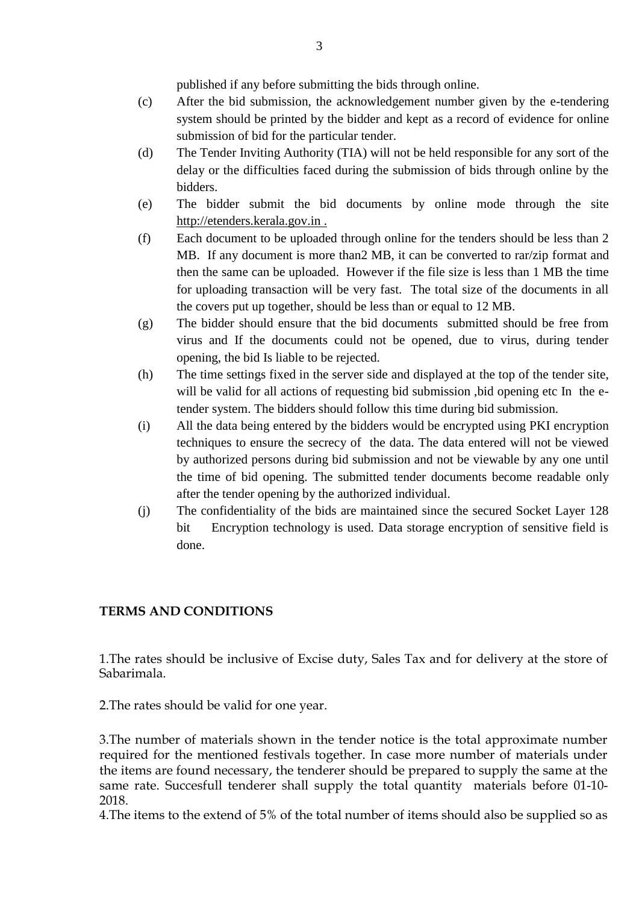published if any before submitting the bids through online.

- (c) After the bid submission, the acknowledgement number given by the e-tendering system should be printed by the bidder and kept as a record of evidence for online submission of bid for the particular tender.
- (d) The Tender Inviting Authority (TIA) will not be held responsible for any sort of the delay or the difficulties faced during the submission of bids through online by the bidders.
- (e) The bidder submit the bid documents by online mode through the site http://etenders.kerala.gov.in .
- (f) Each document to be uploaded through online for the tenders should be less than 2 MB. If any document is more than2 MB, it can be converted to rar/zip format and then the same can be uploaded. However if the file size is less than 1 MB the time for uploading transaction will be very fast. The total size of the documents in all the covers put up together, should be less than or equal to 12 MB.
- (g) The bidder should ensure that the bid documents submitted should be free from virus and If the documents could not be opened, due to virus, during tender opening, the bid Is liable to be rejected.
- (h) The time settings fixed in the server side and displayed at the top of the tender site, will be valid for all actions of requesting bid submission ,bid opening etc In the etender system. The bidders should follow this time during bid submission.
- (i) All the data being entered by the bidders would be encrypted using PKI encryption techniques to ensure the secrecy of the data. The data entered will not be viewed by authorized persons during bid submission and not be viewable by any one until the time of bid opening. The submitted tender documents become readable only after the tender opening by the authorized individual.
- (j) The confidentiality of the bids are maintained since the secured Socket Layer 128 bit Encryption technology is used. Data storage encryption of sensitive field is done.

### **TERMS AND CONDITIONS**

1.The rates should be inclusive of Excise duty, Sales Tax and for delivery at the store of Sabarimala.

2.The rates should be valid for one year.

3.The number of materials shown in the tender notice is the total approximate number required for the mentioned festivals together. In case more number of materials under the items are found necessary, the tenderer should be prepared to supply the same at the same rate. Succesfull tenderer shall supply the total quantity materials before 01-10- 2018.

4.The items to the extend of 5% of the total number of items should also be supplied so as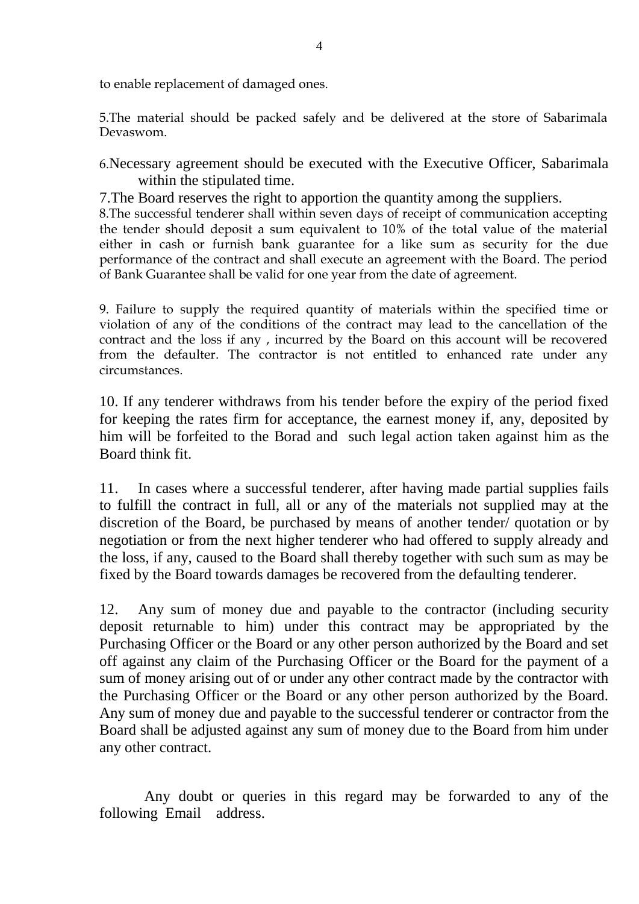to enable replacement of damaged ones.

5.The material should be packed safely and be delivered at the store of Sabarimala Devaswom.

6.Necessary agreement should be executed with the Executive Officer, Sabarimala within the stipulated time.

7.The Board reserves the right to apportion the quantity among the suppliers.

8.The successful tenderer shall within seven days of receipt of communication accepting the tender should deposit a sum equivalent to 10% of the total value of the material either in cash or furnish bank guarantee for a like sum as security for the due performance of the contract and shall execute an agreement with the Board. The period of Bank Guarantee shall be valid for one year from the date of agreement.

9. Failure to supply the required quantity of materials within the specified time or violation of any of the conditions of the contract may lead to the cancellation of the contract and the loss if any , incurred by the Board on this account will be recovered from the defaulter. The contractor is not entitled to enhanced rate under any circumstances.

10. If any tenderer withdraws from his tender before the expiry of the period fixed for keeping the rates firm for acceptance, the earnest money if, any, deposited by him will be forfeited to the Borad and such legal action taken against him as the Board think fit.

11. In cases where a successful tenderer, after having made partial supplies fails to fulfill the contract in full, all or any of the materials not supplied may at the discretion of the Board, be purchased by means of another tender/ quotation or by negotiation or from the next higher tenderer who had offered to supply already and the loss, if any, caused to the Board shall thereby together with such sum as may be fixed by the Board towards damages be recovered from the defaulting tenderer.

12. Any sum of money due and payable to the contractor (including security deposit returnable to him) under this contract may be appropriated by the Purchasing Officer or the Board or any other person authorized by the Board and set off against any claim of the Purchasing Officer or the Board for the payment of a sum of money arising out of or under any other contract made by the contractor with the Purchasing Officer or the Board or any other person authorized by the Board. Any sum of money due and payable to the successful tenderer or contractor from the Board shall be adjusted against any sum of money due to the Board from him under any other contract.

 Any doubt or queries in this regard may be forwarded to any of the following Email address.